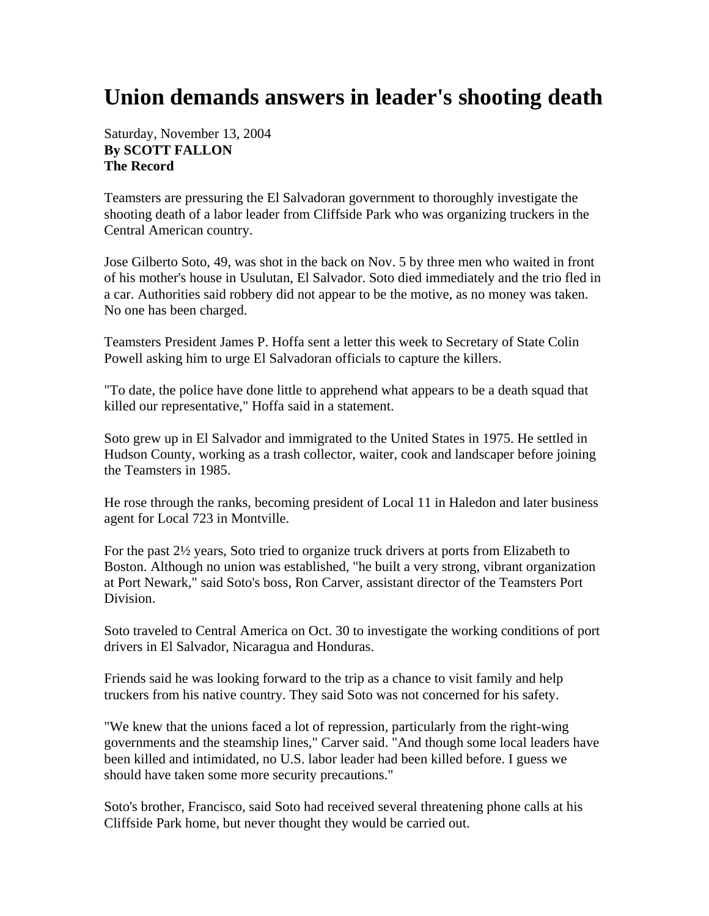## **Union demands answers in leader's shooting death**

## Saturday, November 13, 2004 **By SCOTT FALLON The Record**

Teamsters are pressuring the El Salvadoran government to thoroughly investigate the shooting death of a labor leader from Cliffside Park who was organizing truckers in the Central American country.

Jose Gilberto Soto, 49, was shot in the back on Nov. 5 by three men who waited in front of his mother's house in Usulutan, El Salvador. Soto died immediately and the trio fled in a car. Authorities said robbery did not appear to be the motive, as no money was taken. No one has been charged.

Teamsters President James P. Hoffa sent a letter this week to Secretary of State Colin Powell asking him to urge El Salvadoran officials to capture the killers.

"To date, the police have done little to apprehend what appears to be a death squad that killed our representative," Hoffa said in a statement.

Soto grew up in El Salvador and immigrated to the United States in 1975. He settled in Hudson County, working as a trash collector, waiter, cook and landscaper before joining the Teamsters in 1985.

He rose through the ranks, becoming president of Local 11 in Haledon and later business agent for Local 723 in Montville.

For the past 2½ years, Soto tried to organize truck drivers at ports from Elizabeth to Boston. Although no union was established, "he built a very strong, vibrant organization at Port Newark," said Soto's boss, Ron Carver, assistant director of the Teamsters Port Division.

Soto traveled to Central America on Oct. 30 to investigate the working conditions of port drivers in El Salvador, Nicaragua and Honduras.

Friends said he was looking forward to the trip as a chance to visit family and help truckers from his native country. They said Soto was not concerned for his safety.

"We knew that the unions faced a lot of repression, particularly from the right-wing governments and the steamship lines," Carver said. "And though some local leaders have been killed and intimidated, no U.S. labor leader had been killed before. I guess we should have taken some more security precautions."

Soto's brother, Francisco, said Soto had received several threatening phone calls at his Cliffside Park home, but never thought they would be carried out.